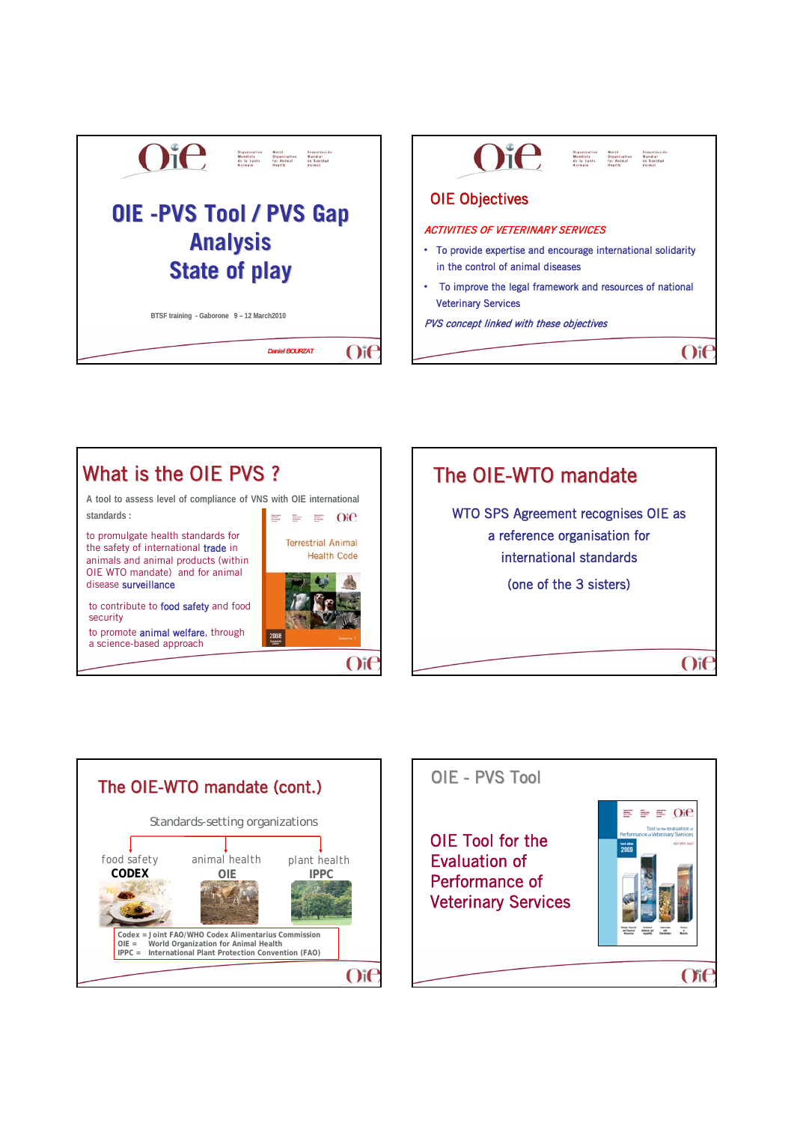







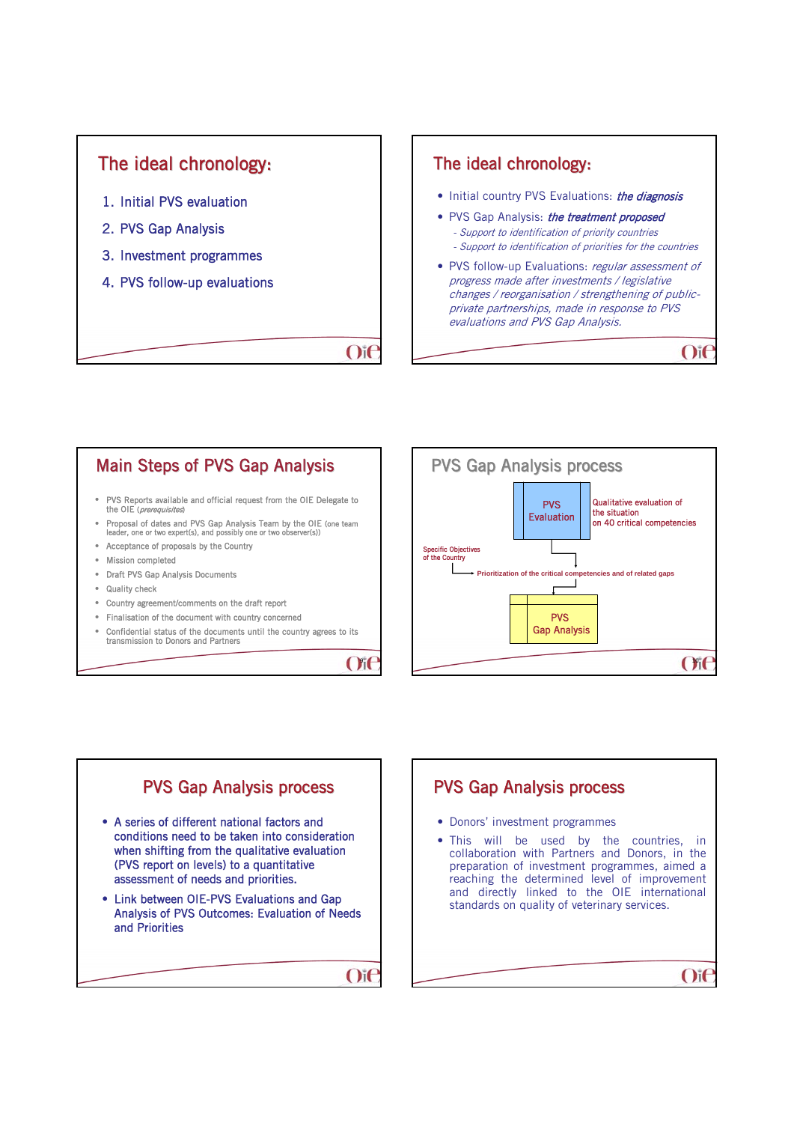

### The ideal chronology:

- Initial country PVS Evaluations: the diagnosis
- PVS Gap Analysis: the treatment proposed - Support to identification of priority countries
	- Support to identification of priorities for the countries
- PVS follow-up Evaluations: regular assessment of progress made after investments / legislative changes / reorganisation / strengthening of publicprivate partnerships, made in response to PVS evaluations and PVS Gap Analysis.

 $O$ if

• PVS Reports available and official request from the OIE Delegate to the OIE (prerequisites) • Proposal of dates and PVS Gap Analysis Team by the OIE (one team leader, one or two expert(s), and possibly one or two observer(s)) • Acceptance of proposals by the Country • Mission completed • Draft PVS Gap Analysis Documents • Quality check • Country agreement/comments on the draft report Main Steps of PVS Gap Analysis

- Finalisation of the document with country concerned
- Confidential status of the documents until the country agrees to its transmission to Donors and Partners

 $O(f)$ 

 $O$ if





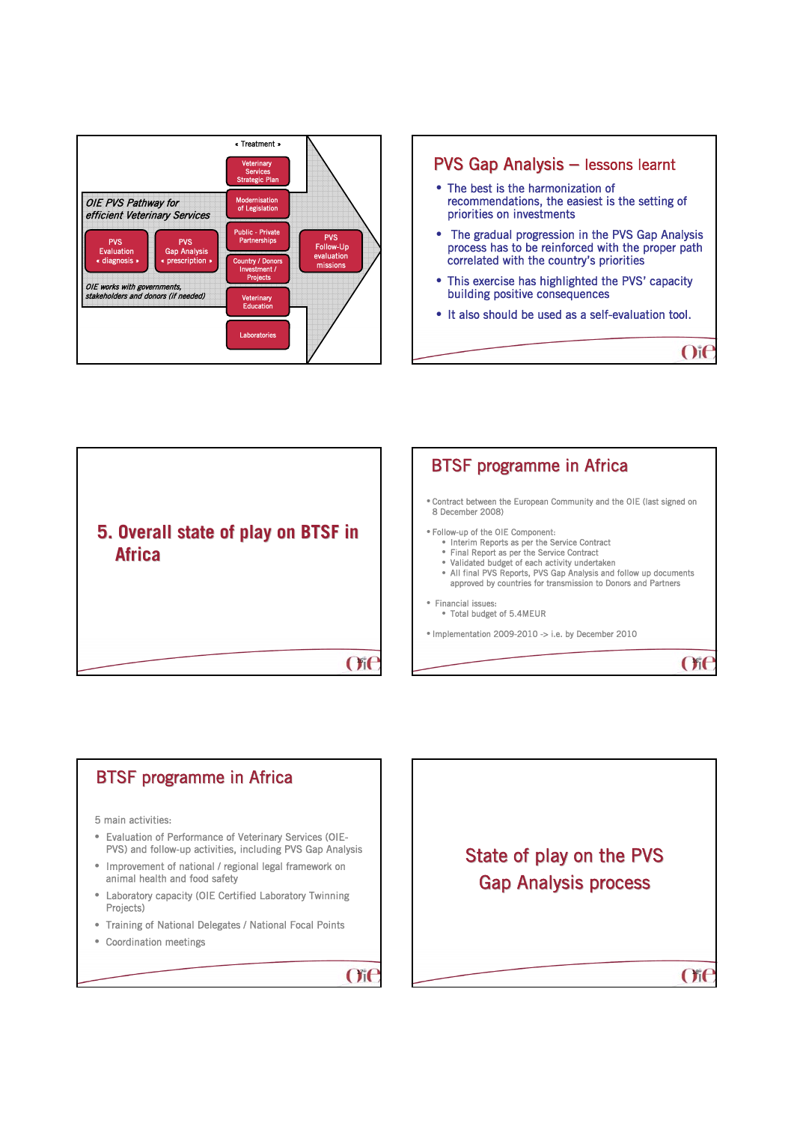





 $O(f)$ 

### 5 main activities: • Evaluation of Performance of Veterinary Services (OIE-PVS) and follow-up activities, including PVS Gap Analysis • Improvement of national / regional legal framework on animal health and food safety • Laboratory capacity (OIE Certified Laboratory Twinning Projects) • Training of National Delegates / National Focal Points • Coordination meetings **BTSF programme in Africa**

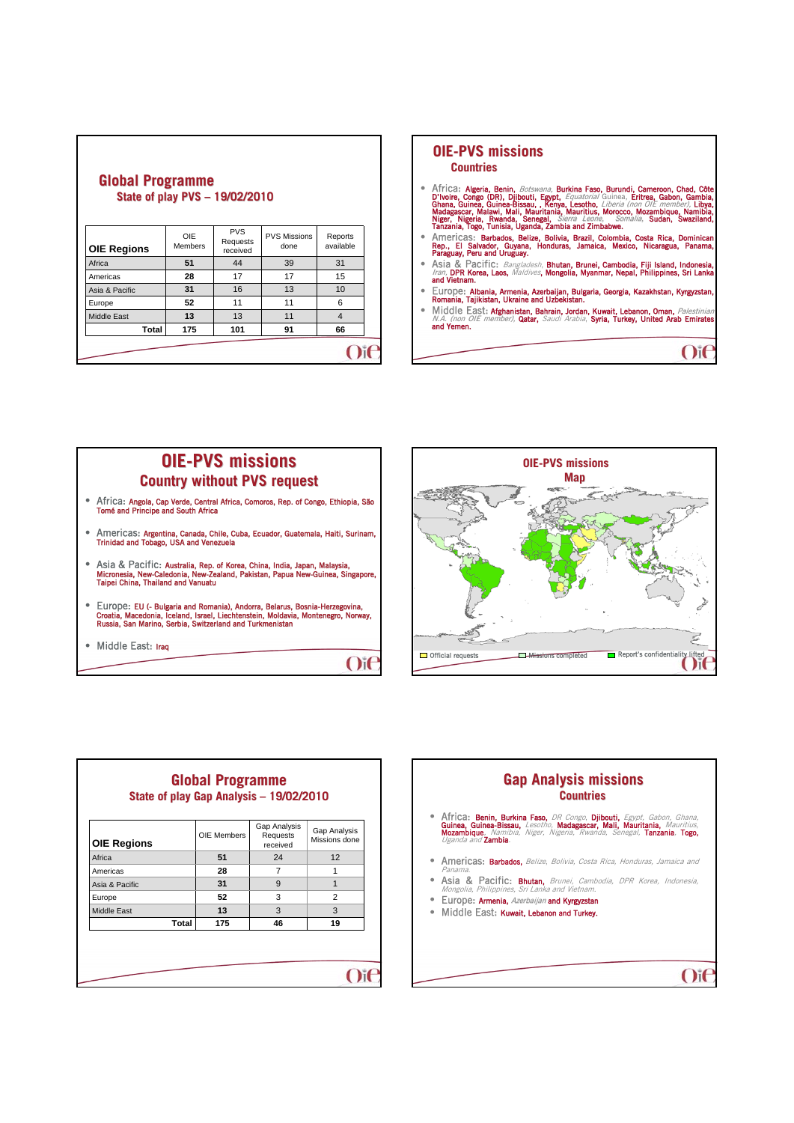| <b>QIUDAL FIUXIAIIIIIIG</b><br>State of play PVS - 19/02/2010 |                              |                                    |                             |                      |
|---------------------------------------------------------------|------------------------------|------------------------------------|-----------------------------|----------------------|
| <b>OIE Regions</b>                                            | <b>OIE</b><br><b>Members</b> | <b>PVS</b><br>Requests<br>received | <b>PVS Missions</b><br>done | Reports<br>available |
| Africa                                                        | 51                           | 44                                 | 39                          | 31                   |
| Americas                                                      | 28                           | 17                                 | 17                          | 15                   |
| Asia & Pacific                                                | 31                           | 16                                 | 13                          | 10                   |
| Europe                                                        | 52                           | 11                                 | 11                          | 6                    |
| <b>Middle East</b>                                            | 13                           | 13                                 | 11                          | $\overline{4}$       |
| Total                                                         | 175                          | 101                                | 91                          | 66                   |
|                                                               |                              |                                    |                             |                      |

**Global Programme Global Programme** 

## **OIE-PVS missions PVS missions**

**Countries**

- **•** Africa: Algeria, Benin, *Botswana*, Burkina Faso, Burundi, Cameroon, Chad, Côte D'Voire, Congo (DR), Djibouti, Egypt, *Equatorial* Chana, Girtea, Gabon, Gambia, Girtea, Gabon, Gambia, Madagascar, Malawi, Mali, Mauritan
- **•** Americas: Barbados, Belize, Bolivia, Brazil, Colombia, Costa Rica, Dominican<br>Rep., El Salvador, Guyana, Honduras, Jamaica, Mexico, Nicaragua, Panama,<br>Paraguay, Peru and Uruguay.<br>• Asia & Pacific: Bangladesh, Bhutan, Br
- 
- Europe: Albania, Armenia, Azerbaijan, Bulgaria, Georgia, Kazakhstan, Kyrgyzstan, Romania, Tajikistan, Ukraine and Uzbekistan.
- Middle East: Afghanistan, Bahrain, Jordan, Kuwait, Lebanon, Oman, *Palestinian*<br>M.A. (non OIE member), Qatar, *Saudi Arabia*, S**yria, Turkey, United Arab Emirates**<br>and Yemen.

 $O$ i $\epsilon$ 

 $O$ i $\epsilon$ 

#### **OIE-PVS missions PVS missions Country without PVS request without PVS**

- Africa: Angola, Cap Verde, Central Africa, Comoros, Rep. of Congo, Ethiopia, São Tomé and Principe and South Africa
- Americas: Argentina, Canada, Chile, Cuba, Ecuador, Guatemala, Haiti, Surinam, Trinidad and Tobago, USA and Venezuela
- Asia & Pacific: Australia, Rep. of Korea, China, India, Japan, Malaysia, Micronesia, New-Caledonia, New-Zealand, Pakistan, Papua New-Guinea, Singapore, Taipei China, Thailand and Vanuatu
- Europe: EU (- Bulgaria and Romania), Andorra, Belarus, Bosnia-Herzegovina, Croatia, Macedonia, Iceland, Israel, Liechtenstein, Moldavia, Montenegro, Norway, Russia, San Marino, Serbia, Switzerland and Turkmenistan
- Middle East: Iraq





| <b>OIE Regions</b> | OIE Members | Gap Analysis<br>Requests<br>received | Gap Analysis<br>Missions done |
|--------------------|-------------|--------------------------------------|-------------------------------|
| Africa             | 51          | 24                                   | 12                            |
| Americas           | 28          | $\overline{7}$                       | 1                             |
| Asia & Pacific     | 31          | 9                                    | $\overline{1}$                |
| Europe             | 52          | 3                                    | 2                             |
| Middle East        | 13          | 3                                    | 3                             |
| Total              | 175         | 46                                   | 19                            |

# **Gap Analysis missions Gap Analysis missions Countries • Africa: Benin, Burkina Faso,** DR Congo, **Djibouti,** Egypt, Gabon, Ghana,<br>**Guinea, Guinea-Bissau,** Lesotho, **Madagascar, Mali, Mauritania,** Mauritius,<br>Mozambique, Namibia, Niger, Nigeria, Rwanda, Senegal, **Tanzania, Togo** • Americas: Barbados, Belize, Bolivia, Costa Rica, Honduras, Jamaica and - Panama.<br>• **Asia & Pacific: Bhutan,** Brunei, Cambodia, DPR Korea, Indonesia,<br>Mongolia, Philippines, Sri Lanka and Vietnam. Mongolia, Prinippines, Sti Lanna and Viction...<br>• Europe: Armenia, Azerbaijan and Kyrgyzstan • Middle East: Kuwait, Lebanon and Turkey.